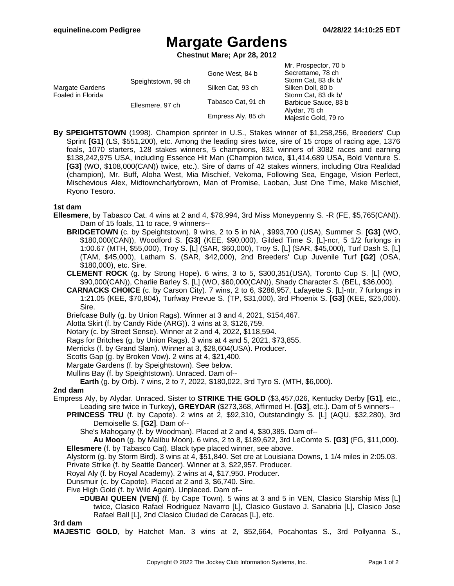# **Margate Gardens**

**Chestnut Mare; Apr 28, 2012**

|                                      |                     | Gone West, 84 b    | Mr. Prospector, 70 b<br>Secrettame, 78 ch   |
|--------------------------------------|---------------------|--------------------|---------------------------------------------|
| Margate Gardens<br>Foaled in Florida | Speightstown, 98 ch | Silken Cat, 93 ch  | Storm Cat, 83 dk b/<br>Silken Doll, 80 b    |
|                                      | Ellesmere, 97 ch    | Tabasco Cat, 91 ch | Storm Cat, 83 dk b/<br>Barbicue Sauce, 83 b |
|                                      |                     | Empress Aly, 85 ch | Alydar, 75 ch<br>Majestic Gold, 79 ro       |

**By SPEIGHTSTOWN** (1998). Champion sprinter in U.S., Stakes winner of \$1,258,256, Breeders' Cup Sprint **[G1]** (LS, \$551,200), etc. Among the leading sires twice, sire of 15 crops of racing age, 1376 foals, 1070 starters, 128 stakes winners, 5 champions, 831 winners of 3082 races and earning \$138,242,975 USA, including Essence Hit Man (Champion twice, \$1,414,689 USA, Bold Venture S. **[G3]** (WO, \$108,000(CAN)) twice, etc.). Sire of dams of 42 stakes winners, including Otra Realidad (champion), Mr. Buff, Aloha West, Mia Mischief, Vekoma, Following Sea, Engage, Vision Perfect, Mischevious Alex, Midtowncharlybrown, Man of Promise, Laoban, Just One Time, Make Mischief, Ryono Tesoro.

### **1st dam**

- **Ellesmere**, by Tabasco Cat. 4 wins at 2 and 4, \$78,994, 3rd Miss Moneypenny S. -R (FE, \$5,765(CAN)). Dam of 15 foals, 11 to race, 9 winners--
	- **BRIDGETOWN** (c. by Speightstown). 9 wins, 2 to 5 in NA , \$993,700 (USA), Summer S. **[G3]** (WO, \$180,000(CAN)), Woodford S. **[G3]** (KEE, \$90,000), Gilded Time S. [L]-ncr, 5 1/2 furlongs in 1:00.67 (MTH, \$55,000), Troy S. [L] (SAR, \$60,000), Troy S. [L] (SAR, \$45,000), Turf Dash S. [L] (TAM, \$45,000), Latham S. (SAR, \$42,000), 2nd Breeders' Cup Juvenile Turf **[G2]** (OSA, \$180,000), etc. Sire.
	- **CLEMENT ROCK** (g. by Strong Hope). 6 wins, 3 to 5, \$300,351(USA), Toronto Cup S. [L] (WO, \$90,000(CAN)), Charlie Barley S. [L] (WO, \$60,000(CAN)), Shady Character S. (BEL, \$36,000).
	- **CARNACKS CHOICE** (c. by Carson City). 7 wins, 2 to 6, \$286,957, Lafayette S. [L]-ntr, 7 furlongs in 1:21.05 (KEE, \$70,804), Turfway Prevue S. (TP, \$31,000), 3rd Phoenix S. **[G3]** (KEE, \$25,000). Sire.
	- Briefcase Bully (g. by Union Rags). Winner at 3 and 4, 2021, \$154,467.
	- Alotta Skirt (f. by Candy Ride (ARG)). 3 wins at 3, \$126,759.
	- Notary (c. by Street Sense). Winner at 2 and 4, 2022, \$118,594.
	- Rags for Britches (g. by Union Rags). 3 wins at 4 and 5, 2021, \$73,855.
	- Merricks (f. by Grand Slam). Winner at 3, \$28,604(USA). Producer.
	- Scotts Gap (g. by Broken Vow). 2 wins at 4, \$21,400.
	- Margate Gardens (f. by Speightstown). See below.
	- Mullins Bay (f. by Speightstown). Unraced. Dam of--

**Earth** (g. by Orb). 7 wins, 2 to 7, 2022, \$180,022, 3rd Tyro S. (MTH, \$6,000).

#### **2nd dam**

- Empress Aly, by Alydar. Unraced. Sister to **STRIKE THE GOLD** (\$3,457,026, Kentucky Derby **[G1]**, etc., Leading sire twice in Turkey), **GREYDAR** (\$273,368, Affirmed H. **[G3]**, etc.). Dam of 5 winners--
	- **PRINCESS TRU** (f. by Capote). 2 wins at 2, \$92,310, Outstandingly S. [L] (AQU, \$32,280), 3rd Demoiselle S. **[G2]**. Dam of--

She's Mahogany (f. by Woodman). Placed at 2 and 4, \$30,385. Dam of--

- **Au Moon** (g. by Malibu Moon). 6 wins, 2 to 8, \$189,622, 3rd LeComte S. **[G3]** (FG, \$11,000). **Ellesmere** (f. by Tabasco Cat). Black type placed winner, see above.
- Alystorm (g. by Storm Bird). 3 wins at 4, \$51,840. Set cre at Louisiana Downs, 1 1/4 miles in 2:05.03.
- Private Strike (f. by Seattle Dancer). Winner at 3, \$22,957. Producer.
- Royal Aly (f. by Royal Academy). 2 wins at 4, \$17,950. Producer.
- Dunsmuir (c. by Capote). Placed at 2 and 3, \$6,740. Sire.
- Five High Gold (f. by Wild Again). Unplaced. Dam of--
	- **=DUBAI QUEEN (VEN)** (f. by Cape Town). 5 wins at 3 and 5 in VEN, Clasico Starship Miss [L] twice, Clasico Rafael Rodriguez Navarro [L], Clasico Gustavo J. Sanabria [L], Clasico Jose Rafael Ball [L], 2nd Clasico Ciudad de Caracas [L], etc.

**3rd dam**

**MAJESTIC GOLD**, by Hatchet Man. 3 wins at 2, \$52,664, Pocahontas S., 3rd Pollyanna S.,